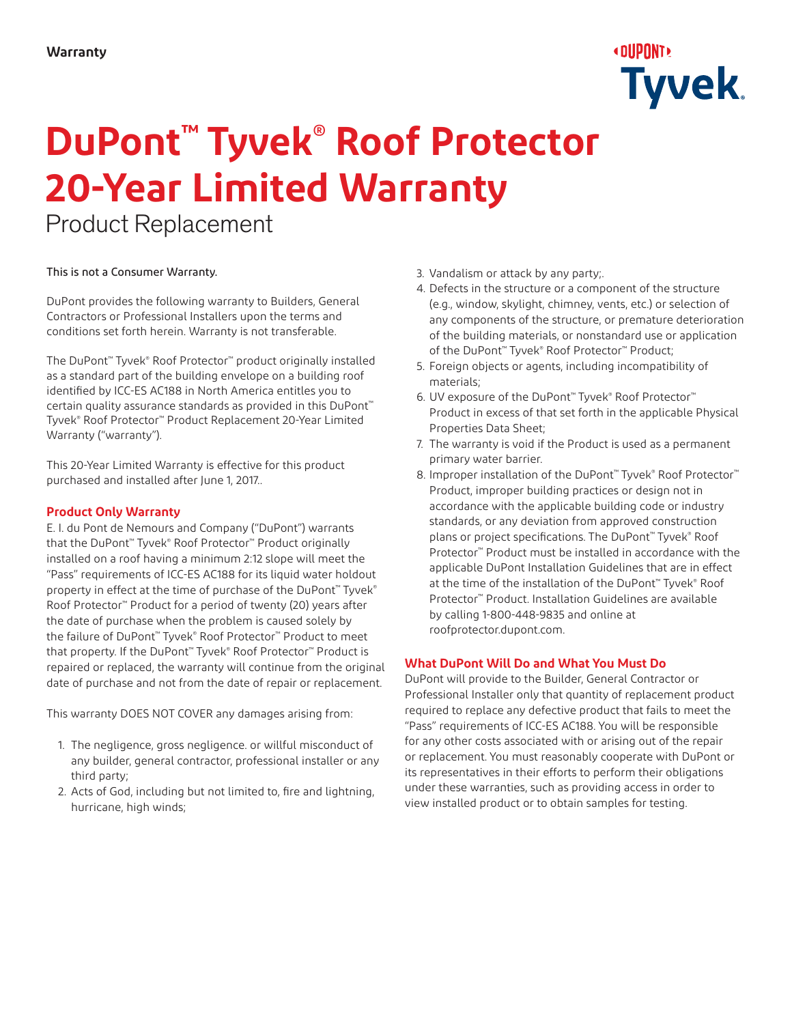## ∢oupont∢ **Tyvek**

# **DuPont™ Tyvek® Roof Protector 20-Year Limited Warranty**

Product Replacement

#### This is not a Consumer Warranty.

DuPont provides the following warranty to Builders, General Contractors or Professional Installers upon the terms and conditions set forth herein. Warranty is not transferable.

The DuPont™ Tyvek® Roof Protector™ product originally installed as a standard part of the building envelope on a building roof identified by ICC-ES AC188 in North America entitles you to certain quality assurance standards as provided in this DuPont<sup>™</sup> Tyvek® Roof Protector™ Product Replacement 20-Year Limited Warranty ("warranty").

This 20-Year Limited Warranty is effective for this product purchased and installed after June 1, 2017..

#### **Product Only Warranty**

E. I. du Pont de Nemours and Company ("DuPont") warrants that the DuPont™ Tyvek® Roof Protector™ Product originally installed on a roof having a minimum 2:12 slope will meet the "Pass" requirements of ICC-ES AC188 for its liquid water holdout property in effect at the time of purchase of the DuPont™ Tyvek® Roof Protector™ Product for a period of twenty (20) years after the date of purchase when the problem is caused solely by the failure of DuPont™ Tyvek® Roof Protector™ Product to meet that property. If the DuPont™ Tyvek® Roof Protector™ Product is repaired or replaced, the warranty will continue from the original date of purchase and not from the date of repair or replacement.

This warranty DOES NOT COVER any damages arising from:

- 1. The negligence, gross negligence. or willful misconduct of any builder, general contractor, professional installer or any third party;
- 2. Acts of God, including but not limited to, fire and lightning, hurricane, high winds;
- 3. Vandalism or attack by any party;.
- 4. Defects in the structure or a component of the structure (e.g., window, skylight, chimney, vents, etc.) or selection of any components of the structure, or premature deterioration of the building materials, or nonstandard use or application of the DuPont™ Tyvek® Roof Protector™ Product;
- 5. Foreign objects or agents, including incompatibility of materials;
- 6. UV exposure of the DuPont™ Tyvek® Roof Protector™ Product in excess of that set forth in the applicable Physical Properties Data Sheet;
- 7. The warranty is void if the Product is used as a permanent primary water barrier.
- 8. Improper installation of the DuPont<sup>™</sup> Tyvek® Roof Protector<sup>™</sup> Product, improper building practices or design not in accordance with the applicable building code or industry standards, or any deviation from approved construction plans or project specifications. The DuPont™ Tyvek® Roof Protector™ Product must be installed in accordance with the applicable DuPont Installation Guidelines that are in effect at the time of the installation of the DuPont™ Tyvek® Roof Protector™ Product. Installation Guidelines are available by calling 1-800-448-9835 and online at roofprotector.dupont.com.

#### **What DuPont Will Do and What You Must Do**

DuPont will provide to the Builder, General Contractor or Professional Installer only that quantity of replacement product required to replace any defective product that fails to meet the "Pass" requirements of ICC-ES AC188. You will be responsible for any other costs associated with or arising out of the repair or replacement. You must reasonably cooperate with DuPont or its representatives in their efforts to perform their obligations under these warranties, such as providing access in order to view installed product or to obtain samples for testing.